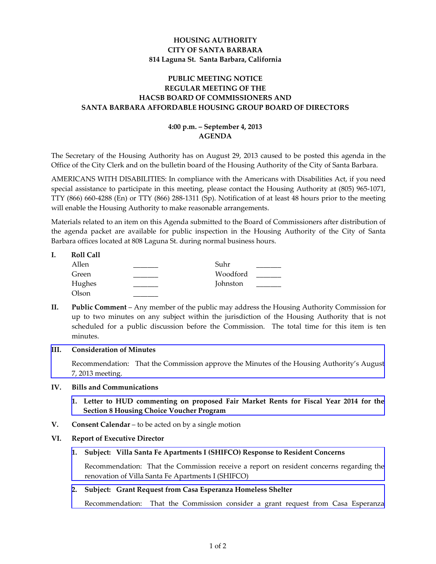# **HOUSING AUTHORITY CITY OF SANTA BARBARA 814 Laguna St. Santa Barbara, California**

# **PUBLIC MEETING NOTICE REGULAR MEETING OF THE HACSB BOARD OF COMMISSIONERS AND SANTA BARBARA AFFORDABLE HOUSING GROUP BOARD OF DIRECTORS**

# **4:00 p.m. – September 4, 2013 AGENDA**

The Secretary of the Housing Authority has on August 29, 2013 caused to be posted this agenda in the Office of the City Clerk and on the bulletin board of the Housing Authority of the City of Santa Barbara.

AMERICANS WITH DISABILITIES: In compliance with the Americans with Disabilities Act, if you need special assistance to participate in this meeting, please contact the Housing Authority at (805) 965‐1071, TTY (866) 660‐4288 (En) or TTY (866) 288‐1311 (Sp). Notification of at least 48 hours prior to the meeting will enable the Housing Authority to make reasonable arrangements.

Materials related to an item on this Agenda submitted to the Board of Commissioners after distribution of the agenda packet are available for public inspection in the Housing Authority of the City of Santa Barbara offices located at 808 Laguna St. during normal business hours.

| <b>Roll Call</b> |          |  |
|------------------|----------|--|
| Allen            | Suhr     |  |
| Green            | Woodford |  |
| Hughes           | Johnston |  |
| Olson            |          |  |
|                  |          |  |

**II. Public Comment** – Any member of the public may address the Housing Authority Commission for up to two minutes on any subject within the jurisdiction of the Housing Authority that is not scheduled for a public discussion before the Commission. The total time for this item is ten minutes.

## **III. Consideration of Minutes**

[Recommendation:](http://www.hacsb.org/Library/agendas_minutes/2013/agenda_packet/Agenda_Packet_2013_09_04/item_III_I_2013_09_04.pdf) That the Commission approve the Minutes of the Housing Authority's August 7, 2013 meeting.

## **IV. Bills and Communications**

- **1. Letter to HUD [commenting](http://www.hacsb.org/Library/agendas_minutes/2013/agenda_packet/Agenda_Packet_2013_09_04/item_IV_I_2013_09_04.pdf) on proposed Fair Market Rents for Fiscal Year 2014 for the Section 8 Housing Choice Voucher Program**
- **V. Consent Calendar** to be acted on by a single motion

## **VI. Report of Executive Director**

**1. Subject: Villa Santa Fe Apartments I (SHIFCO) Response to Resident Concerns**

[Recommendation:](http://www.hacsb.org/Library/agendas_minutes/2013/agenda_packet/Agenda_Packet_2013_09_04/item_VI_I_2013_09_04.pdf) That the Commission receive a report on resident concerns regarding the renovation of Villa Santa Fe Apartments I (SHIFCO)

## **2. Subject: Grant Request from Casa Esperanza Homeless Shelter**

[Recommendation:](http://www.hacsb.org/Library/agendas_minutes/2013/agenda_packet/Agenda_Packet_2013_09_04/item_VI_II_2013_09_04.pdf) That the Commission consider a grant request from Casa Esperanza